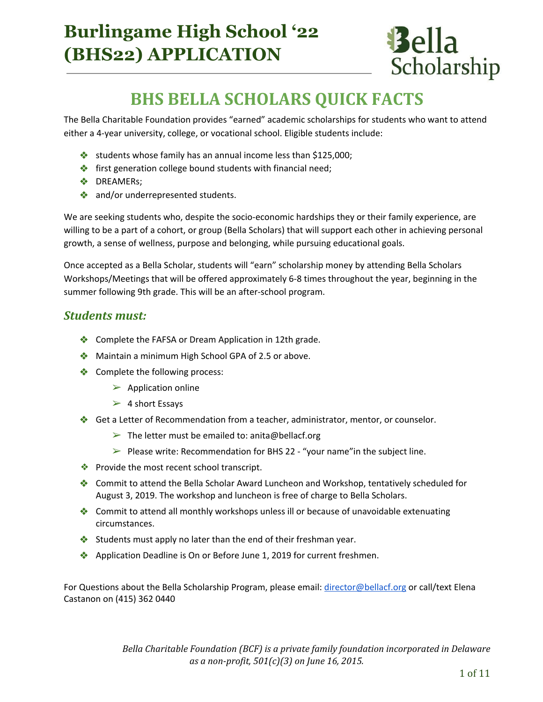# **Burlingame High School '22 (BHS22) APPLICATION**



# BHS BELLA SCHOLARS QUICK FACTS

The Bella Charitable Foundation provides "earned" academic scholarships for students who want to attend either a 4-year university, college, or vocational school. Eligible students include:

- ❖ students whose family has an annual income less than \$125,000;
- ❖ first generation college bound students with financial need;
- ❖ DREAMERs;
- ◆ and/or underrepresented students.

We are seeking students who, despite the socio-economic hardships they or their family experience, are willing to be a part of a cohort, or group (Bella Scholars) that will support each other in achieving personal growth, a sense of wellness, purpose and belonging, while pursuing educational goals.

Once accepted as a Bella Scholar, students will "earn" scholarship money by attending Bella Scholars Workshops/Meetings that will be offered approximately 6-8 times throughout the year, beginning in the summer following 9th grade. This will be an after-school program.

### Students must:

- ❖ Complete the FAFSA or Dream Application in 12th grade.
- ◆ Maintain a minimum High School GPA of 2.5 or above.
- ❖ Complete the following process:
	- $\blacktriangleright$  Application online
	- $\geq 4$  short Essays
- ❖ Get a Letter of Recommendation from a teacher, administrator, mentor, or counselor.
	- $\triangleright$  The letter must be emailed to: anita@bellacf.org
	- $\triangleright$  Please write: Recommendation for BHS 22 "your name" in the subject line.
- ❖ Provide the most recent school transcript.
- ❖ Commit to attend the Bella Scholar Award Luncheon and Workshop, tentatively scheduled for August 3, 2019. The workshop and luncheon is free of charge to Bella Scholars.
- ❖ Commit to attend all monthly workshops unless ill or because of unavoidable extenuating circumstances.
- ❖ Students must apply no later than the end of their freshman year.
- ❖ Application Deadline is On or Before June 1, 2019 for current freshmen.

For Questions about the Bella Scholarship Program, please email: [director@bellacf.org](mailto:director@bellacf.org) or call/text Elena Castanon on (415) 362 0440

> Bella Charitable Foundation (BCF) is a private family foundation incorporated in Delaware as a non-profit,  $501(c)(3)$  on June 16, 2015.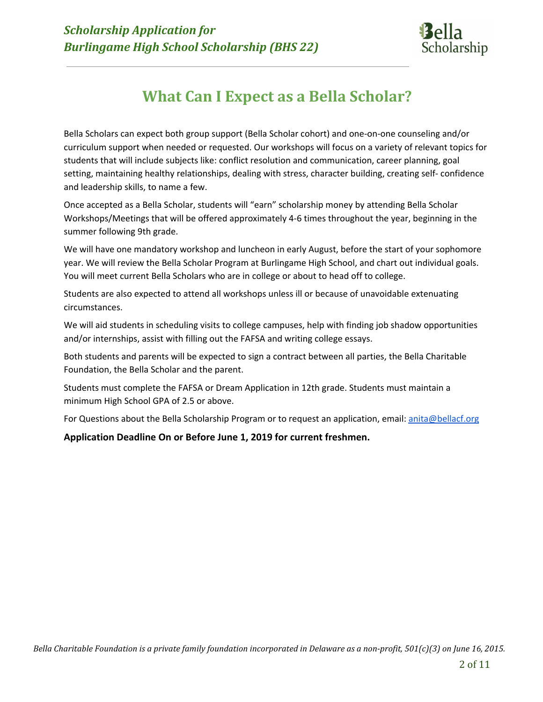

## What Can I Expect as a Bella Scholar?

Bella Scholars can expect both group support (Bella Scholar cohort) and one-on-one counseling and/or curriculum support when needed or requested. Our workshops will focus on a variety of relevant topics for students that will include subjects like: conflict resolution and communication, career planning, goal setting, maintaining healthy relationships, dealing with stress, character building, creating self- confidence and leadership skills, to name a few.

Once accepted as a Bella Scholar, students will "earn" scholarship money by attending Bella Scholar Workshops/Meetings that will be offered approximately 4-6 times throughout the year, beginning in the summer following 9th grade.

We will have one mandatory workshop and luncheon in early August, before the start of your sophomore year. We will review the Bella Scholar Program at Burlingame High School, and chart out individual goals. You will meet current Bella Scholars who are in college or about to head off to college.

Students are also expected to attend all workshops unless ill or because of unavoidable extenuating circumstances.

We will aid students in scheduling visits to college campuses, help with finding job shadow opportunities and/or internships, assist with filling out the FAFSA and writing college essays.

Both students and parents will be expected to sign a contract between all parties, the Bella Charitable Foundation, the Bella Scholar and the parent.

Students must complete the FAFSA or Dream Application in 12th grade. Students must maintain a minimum High School GPA of 2.5 or above.

For Questions about the Bella Scholarship Program or to request an application, email: [anita@bellacf.org](mailto:anita@bellacf.org)

### Application Deadline On or Before June 1, 2019 for current freshmen.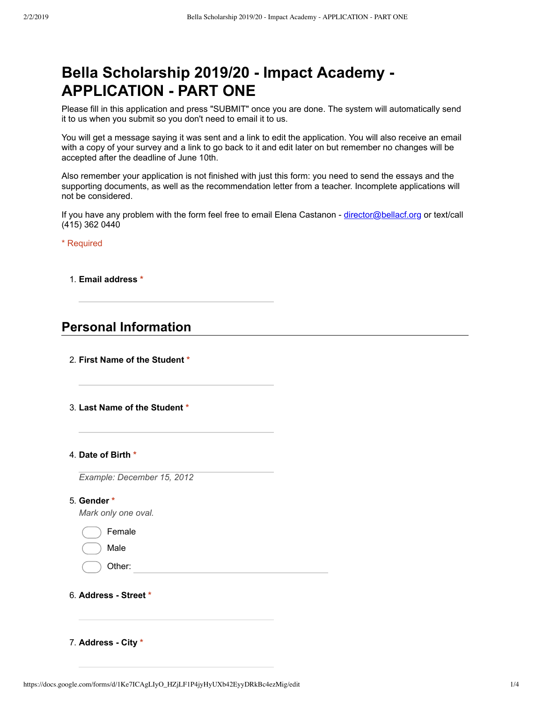## **Bella Scholarship 2019/20 Impact Academy APPLICATION - PART ONE**

Please fill in this application and press "SUBMIT" once you are done. The system will automatically send it to us when you submit so you don't need to email it to us.

You will get a message saying it was sent and a link to edit the application. You will also receive an email with a copy of your survey and a link to go back to it and edit later on but remember no changes will be accepted after the deadline of June 10th.

Also remember your application is not finished with just this form: you need to send the essays and the supporting documents, as well as the recommendation letter from a teacher. Incomplete applications will not be considered.

If you have any problem with the form feel free to email Elena Castanon - director@bellacf.org or text/call (415) 362 0440

\* Required

1. **Email address \***

### **Personal Information**

- 2. **First Name of the Student \***
- 3. **Last Name of the Student \***

#### 4. **Date of Birth \***

*Example: December 15, 2012*

5. **Gender \***

*Mark only one oval.*

| Female |  |
|--------|--|
|        |  |

Male

Other:

6. **Address Street \***

7. **Address City \***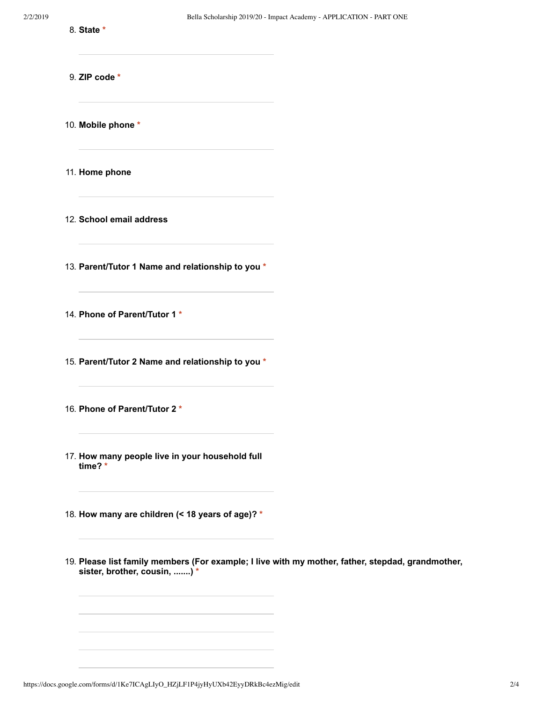- 8. **State \***
- 9. **ZIP code \***

10. **Mobile phone \***

11. **Home phone**

12. **School email address**

13. **Parent/Tutor 1 Name and relationship to you \***

14. **Phone of Parent/Tutor 1 \***

15. **Parent/Tutor 2 Name and relationship to you \***

- 16. **Phone of Parent/Tutor 2 \***
- 17. **How many people live in your household full time? \***

18. **How many are children (< 18 years of age)? \***

19. **Please list family members (For example; I live with my mother, father, stepdad, grandmother, sister, brother, cousin, .......) \***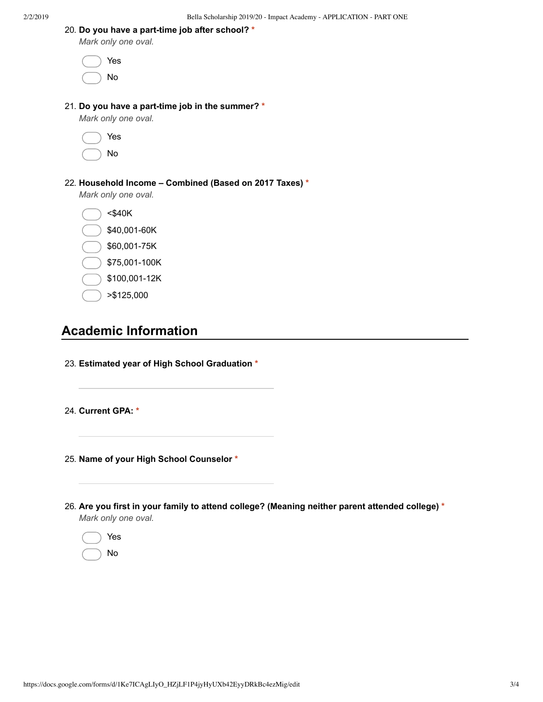*Mark only one oval.*

| $( )$ Yes                                        |
|--------------------------------------------------|
| $($ $)$ No                                       |
| 21. Do you have a part-time job in the summer? * |
| Mark only one oval.                              |

| Yes |
|-----|
| Νo  |

#### 22. **Household Income – Combined (Based on 2017 Taxes) \***

*Mark only one oval.*

<\$40K \$40,001-60K \$60,001-75K

- \$75,001-100K
- \$100,001-12K
- >\$125,000

### **Academic Information**

- 23. **Estimated year of High School Graduation \***
- 24. **Current GPA: \***
- 25. **Name of your High School Counselor \***
- 26. **Are you first in your family to attend college? (Meaning neither parent attended college) \*** *Mark only one oval.*

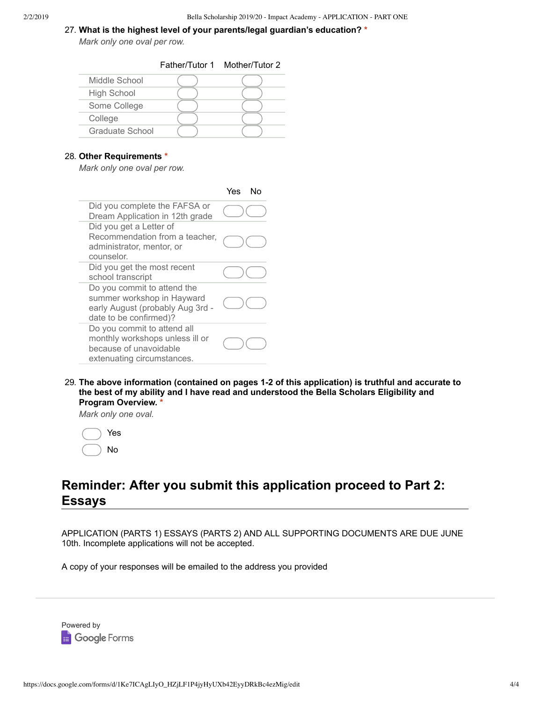#### 27. **What is the highest level of your parents/legal guardian's education? \***

*Mark only one oval per row.*

Father/Tutor 1 Mother/Tutor 2

| Middle School      |  |
|--------------------|--|
| <b>High School</b> |  |
| Some College       |  |
| College            |  |
| Graduate School    |  |
|                    |  |

#### 28. **Other Requirements \***

*Mark only one oval per row.*

|                                                                                                                         | Yes<br>N٥ |
|-------------------------------------------------------------------------------------------------------------------------|-----------|
| Did you complete the FAFSA or<br>Dream Application in 12th grade                                                        |           |
| Did you get a Letter of<br>Recommendation from a teacher,<br>administrator, mentor, or<br>counselor.                    |           |
| Did you get the most recent<br>school transcript                                                                        |           |
| Do you commit to attend the<br>summer workshop in Hayward<br>early August (probably Aug 3rd -<br>date to be confirmed)? |           |
| Do you commit to attend all<br>monthly workshops unless ill or<br>because of unavoidable<br>extenuating circumstances.  |           |

29. **The above information (contained on pages 12 of this application) is truthful and accurate to the best of my ability and I have read and understood the Bella Scholars Eligibility and Program Overview. \***

*Mark only one oval.*

|  | Yes |
|--|-----|
|  | No  |

### **Reminder: After you submit this application proceed to Part 2: Essays**

APPLICATION (PARTS 1) ESSAYS (PARTS 2) AND ALL SUPPORTING DOCUMENTS ARE DUE JUNE 10th. Incomplete applications will not be accepted.

A copy of your responses will be emailed to the address you provided

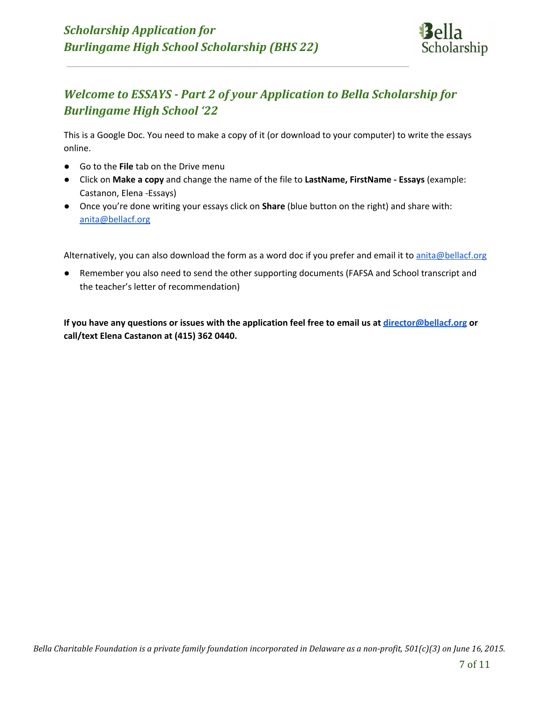

### Welcome to ESSAYS - Part 2 of your Application to Bella Scholarship for Burlingame High School '22

This is a Google Doc. You need to make a copy of it (or download to your computer) to write the essays online.

- Go to the File tab on the Drive menu
- Click on Make a copy and change the name of the file to LastName, FirstName Essays (example: Castanon, Elena -Essays)
- Once you're done writing your essays click on **Share** (blue button on the right) and share with: [anita@bellacf.org](mailto:anita@bellacf.org)

Alternatively, you can also download the form as a word doc if you prefer and email it to [anita@bellacf.org](mailto:anita@bellacf.org)

Remember you also need to send the other supporting documents (FAFSA and School transcript and the teacher's letter of recommendation)

If you have any questions or issues with the application feel free to email us at [director@bellacf.org](mailto:director@bellacf.org) or call/text Elena Castanon at (415) 362 0440.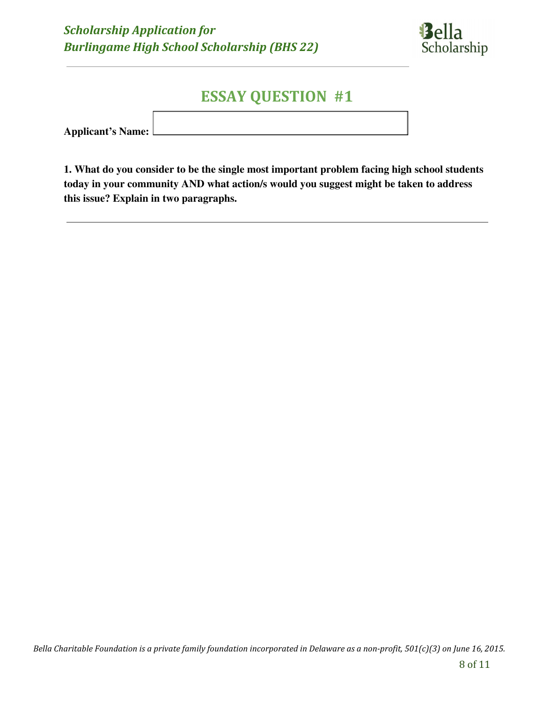

## ESSAY QUESTION #1

| Applicant's Name: L |  |
|---------------------|--|
|                     |  |

1. What do you consider to be the single most important problem facing high school students today in your community AND what action/s would you suggest might be taken to address this issue? Explain in two paragraphs.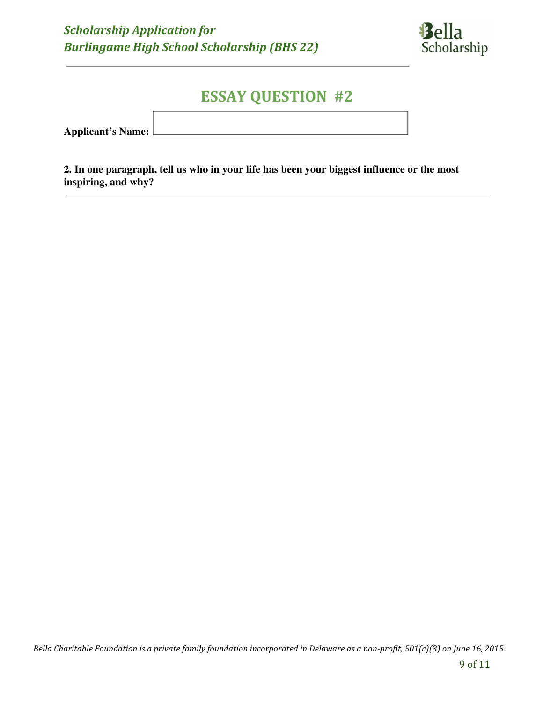

## ESSAY QUESTION #2

Applicant's Name:

2. In one paragraph, tell us who in your life has been your biggest influence or the most inspiring, and why?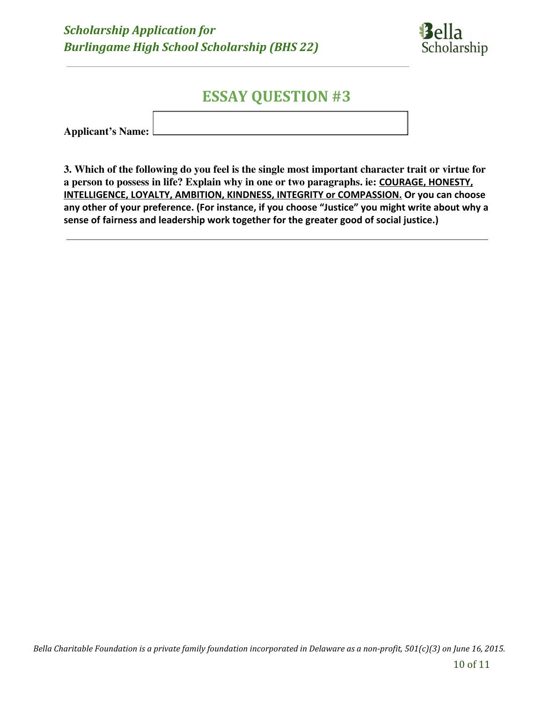

## ESSAY QUESTION #3

Applicant's Name:

3. Which of the following do you feel is the single most important character trait or virtue for a person to possess in life? Explain why in one or two paragraphs. ie: COURAGE, HONESTY, INTELLIGENCE, LOYALTY, AMBITION, KINDNESS, INTEGRITY or COMPASSION. Or you can choose any other of your preference. (For instance, if you choose "Justice" you might write about why a sense of fairness and leadership work together for the greater good of social justice.)